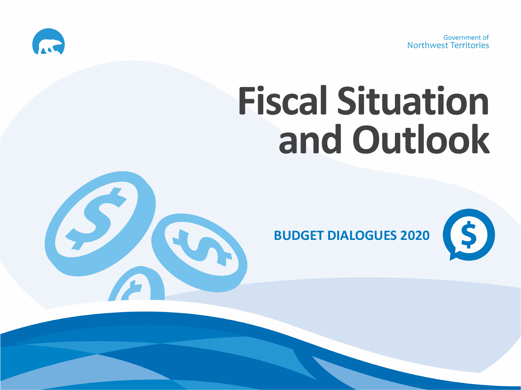Government of Northwest Territories



# **Fiscal Situation and Outlook**



**BUDGET DIALOGUES 2020**

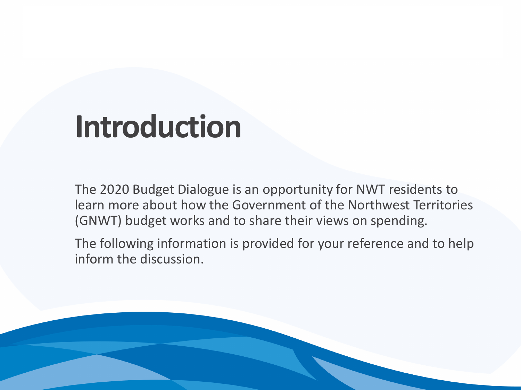### **Introduction**

The 2020 Budget Dialogue is an opportunity for NWT residents to learn more about how the Government of the Northwest Territories (GNWT) budget works and to share their views on spending.

The following information is provided for your reference and to help inform the discussion.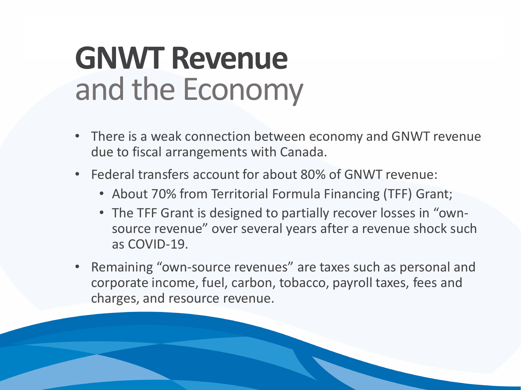### **GNWT Revenue** and the Economy

- There is a weak connection between economy and GNWT revenue due to fiscal arrangements with Canada.
- Federal transfers account for about 80% of GNWT revenue:
	- About 70% from Territorial Formula Financing (TFF) Grant;
	- The TFF Grant is designed to partially recover losses in "ownsource revenue" over several years after a revenue shock such as COVID-19.
- Remaining "own-source revenues" are taxes such as personal and corporate income, fuel, carbon, tobacco, payroll taxes, fees and charges, and resource revenue.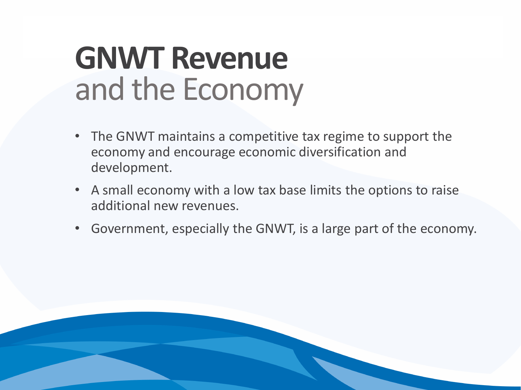### **GNWT Revenue** and the Economy

- The GNWT maintains a competitive tax regime to support the economy and encourage economic diversification and development.
- A small economy with a low tax base limits the options to raise additional new revenues.
- Government, especially the GNWT, is a large part of the economy.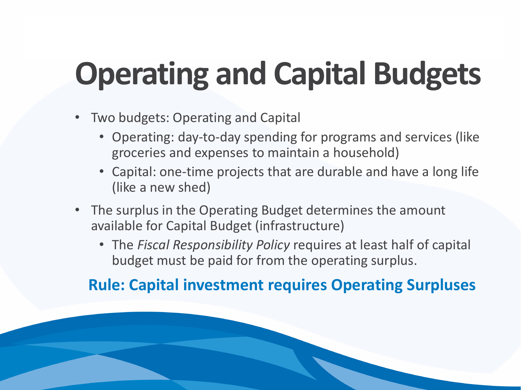# **Operating and Capital Budgets**

- Two budgets: Operating and Capital
	- Operating: day-to-day spending for programs and services (like groceries and expenses to maintain a household)
	- Capital: one-time projects that are durable and have a long life (like a new shed)
- The surplus in the Operating Budget determines the amount available for Capital Budget (infrastructure)
	- The *Fiscal Responsibility Policy* requires at least half of capital budget must be paid for from the operating surplus.

#### **Rule: Capital investment requires Operating Surpluses**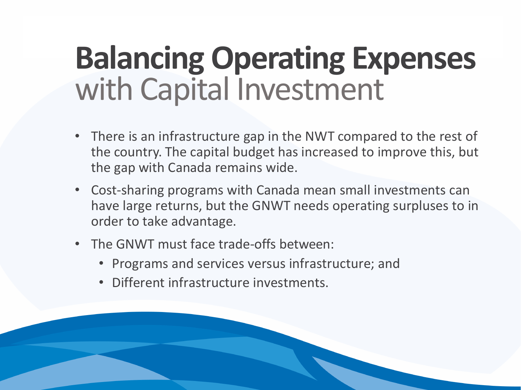## **Balancing Operating Expenses**  with Capital Investment

- There is an infrastructure gap in the NWT compared to the rest of the country. The capital budget has increased to improve this, but the gap with Canada remains wide.
- Cost-sharing programs with Canada mean small investments can have large returns, but the GNWT needs operating surpluses to in order to take advantage.
- The GNWT must face trade-offs between:
	- Programs and services versus infrastructure; and
	- Different infrastructure investments.

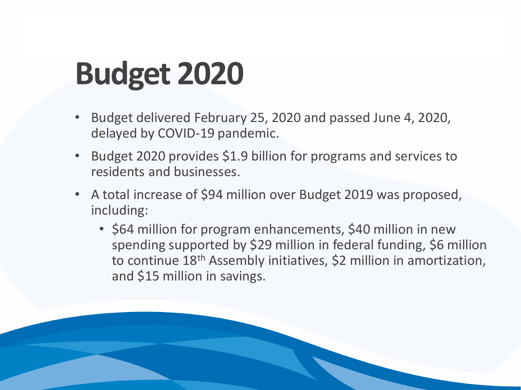## **Budget 2020**

- Budget delivered February 25, 2020 and passed June 4, 2020, delayed by COVID-19 pandemic.
- Budget 2020 provides \$1.9 billion for programs and services to residents and businesses.
- A total increase of \$94 million over Budget 2019 was proposed, including:
	- \$64 million for program enhancements, \$40 million in new spending supported by \$29 million in federal funding, \$6 million to continue 18<sup>th</sup> Assembly initiatives, \$2 million in amortization, and \$15 million in savings.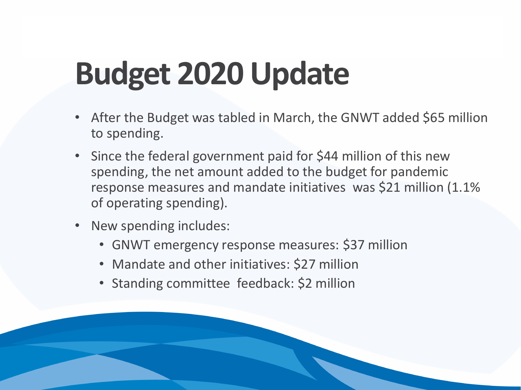# **Budget 2020 Update**

- After the Budget was tabled in March, the GNWT added \$65 million to spending.
- Since the federal government paid for \$44 million of this new spending, the net amount added to the budget for pandemic response measures and mandate initiatives was \$21 million (1.1% of operating spending).
- New spending includes:
	- GNWT emergency response measures: \$37 million
	- Mandate and other initiatives: \$27 million
	- Standing committee feedback: \$2 million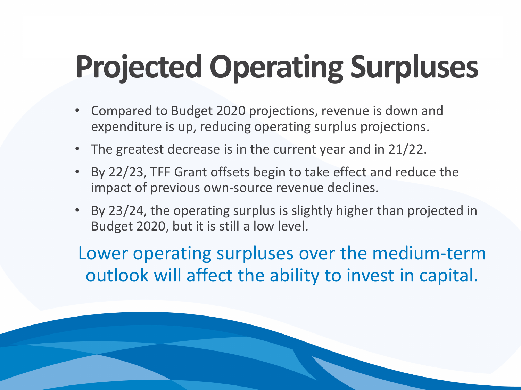# **Projected Operating Surpluses**

- Compared to Budget 2020 projections, revenue is down and expenditure is up, reducing operating surplus projections.
- The greatest decrease is in the current year and in 21/22.
- By 22/23, TFF Grant offsets begin to take effect and reduce the impact of previous own-source revenue declines.
- By 23/24, the operating surplus is slightly higher than projected in Budget 2020, but it is still a low level.

Lower operating surpluses over the medium-term outlook will affect the ability to invest in capital.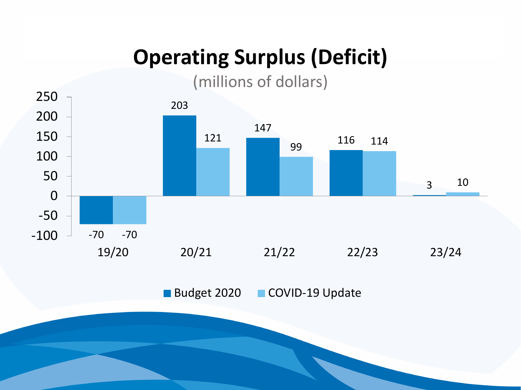### **Operating Surplus (Deficit)**

(millions of dollars)

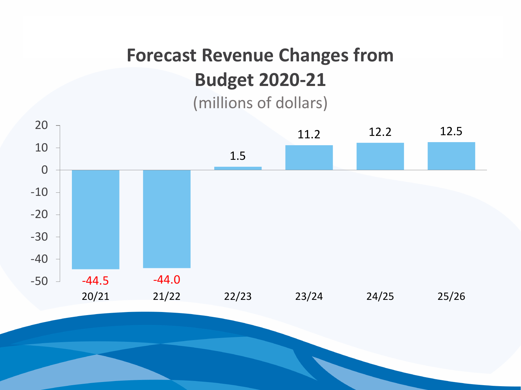### **Forecast Revenue Changes from Budget 2020-21**

(millions of dollars)

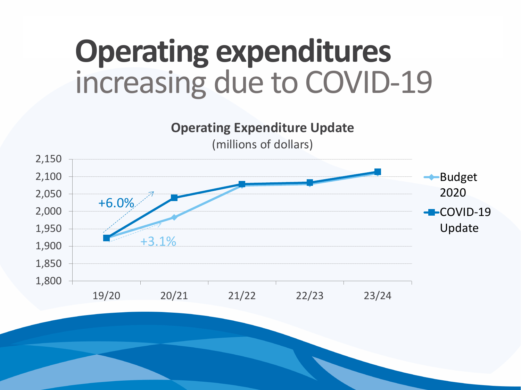## **Operating expenditures**  increasing due to COVID-19

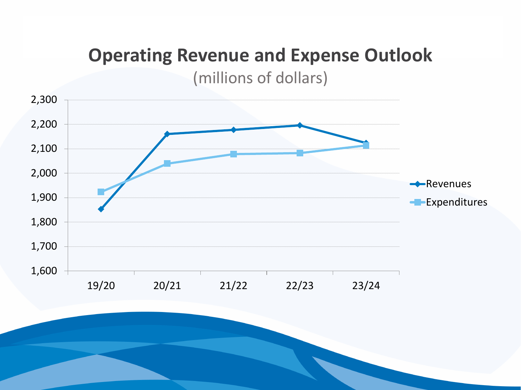### **Operating Revenue and Expense Outlook**  (millions of dollars)

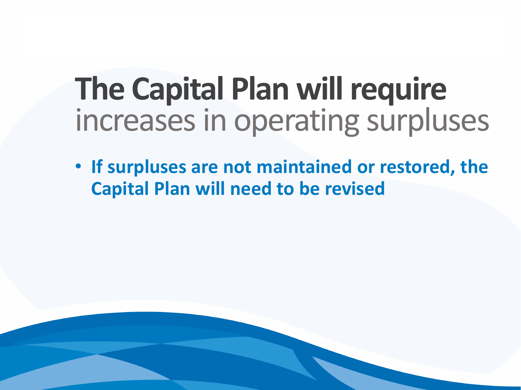## **The Capital Plan will require**  increases in operating surpluses

• **If surpluses are not maintained or restored, the Capital Plan will need to be revised**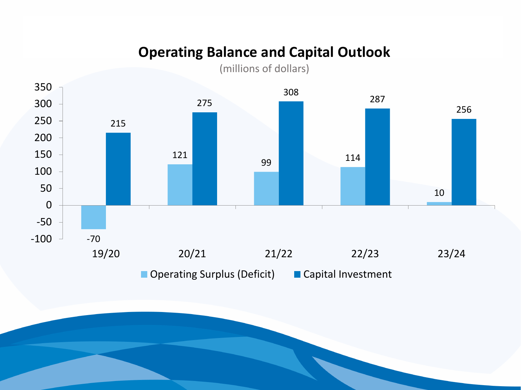#### **Operating Balance and Capital Outlook**



■ Operating Surplus (Deficit) ■ Capital Investment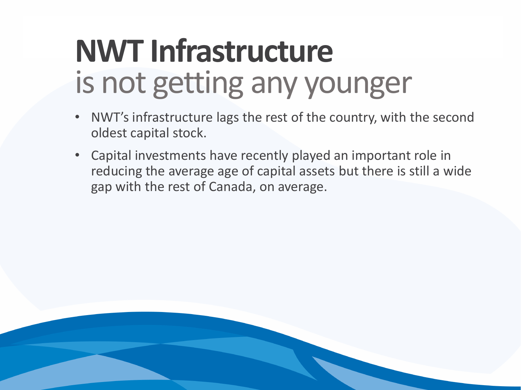## **NWT Infrastructure** is not getting any younger

- NWT's infrastructure lags the rest of the country, with the second oldest capital stock.
- Capital investments have recently played an important role in reducing the average age of capital assets but there is still a wide gap with the rest of Canada, on average.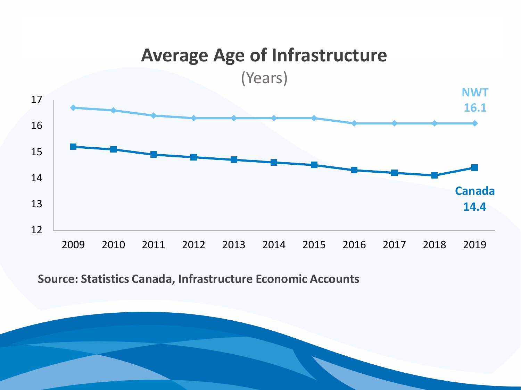#### **16.1 14.4** 12 13 14 15 16 17 2009 2010 2011 2012 2013 2014 2015 2016 2017 2018 2019 **Average Age of Infrastructure** (Years) **NWT Canada**

**Source: Statistics Canada, Infrastructure Economic Accounts**

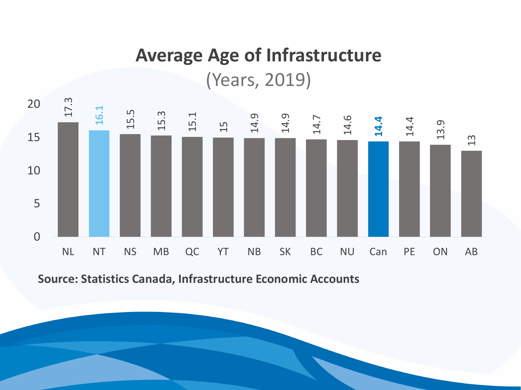### **Average Age of Infrastructure** (Years, 2019)



**Source: Statistics Canada, Infrastructure Economic Accounts**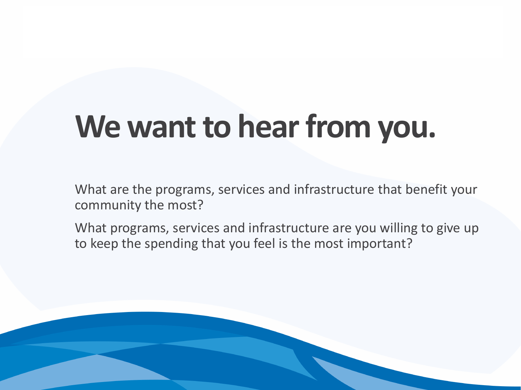# **We want to hear from you.**

What are the programs, services and infrastructure that benefit your community the most?

What programs, services and infrastructure are you willing to give up to keep the spending that you feel is the most important?